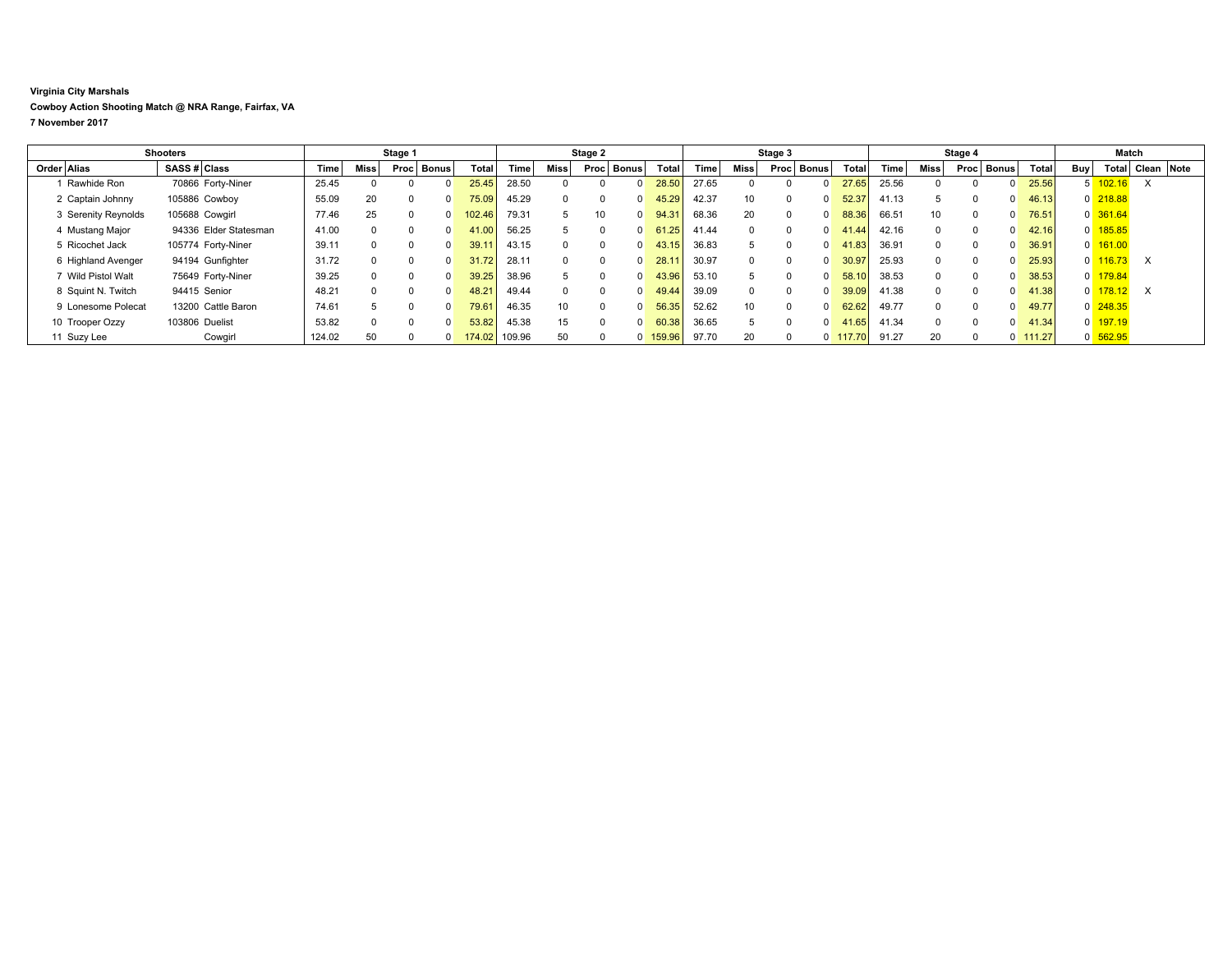## **Virginia City Marshals**

**Cowboy Action Shooting Match @ NRA Range, Fairfax, VA**

**7 November 2017**

| <b>Shooters</b> |                     |                | Stage 1               |        |             |      | Stage 2              |        |        |          | Stage 3  |              |        |       | Stage 4         |                      |            |       | Match        |          |                |        |            |                       |                  |  |
|-----------------|---------------------|----------------|-----------------------|--------|-------------|------|----------------------|--------|--------|----------|----------|--------------|--------|-------|-----------------|----------------------|------------|-------|--------------|----------|----------------|--------|------------|-----------------------|------------------|--|
|                 | Order Alias         | SASS # Class   |                       | Time   | <b>Miss</b> | Proc | ⊤ Bonus <sup>†</sup> | Total  | Time   | Miss     | Proc     | <b>Bonus</b> | Total  | Time  | Miss            | <b>Bonus</b><br>Proc | Total      | Time  | <b>Miss</b>  | Proc     | Bonus          | Total  | <b>Buy</b> |                       | Total Clean Note |  |
|                 | Rawhide Ron         |                | 70866 Forty-Niner     | 25.45  |             |      |                      | 25.45  | 28.50  |          |          |              | 28.50  | 27.65 |                 |                      | 27.65      | 25.56 |              |          | <sup>0</sup>   | 25.56  |            | $5 \overline{102.16}$ |                  |  |
|                 | 2 Captain Johnny    | 105886 Cowboy  |                       | 55.09  | 20          |      |                      | 75.09  | 45.29  | $\Omega$ | $\Omega$ |              | 45.29  | 42.37 | 10              |                      | 52.37      | 41.13 |              |          | $\Omega$       | 46.13  |            | $0$ 218.88            |                  |  |
|                 | 3 Serenity Reynolds | 105688 Cowgirl |                       | 77.46  | 25          |      |                      | 102.46 | 79.31  | 5        | 10       |              | 94.31  | 68.36 | 20              |                      | 88.36      | 66.51 | 10           | $\Omega$ | $\Omega$       | 76.51  |            | $0$ 361.64            |                  |  |
|                 | 4 Mustang Major     |                | 94336 Elder Statesman | 41.00  | $^{\circ}$  |      |                      | 41.00  | 56.25  | 5        | $\Omega$ |              | 61.25  | 41.44 |                 |                      | 41.44      | 42.16 | $\Omega$     | $\Omega$ | $\Omega$       | 42.16  |            | 0 185.85              |                  |  |
|                 | 5 Ricochet Jack     |                | 105774 Forty-Niner    | 39.11  | $\Omega$    |      |                      | 39.1'  | 43.15  | $\Omega$ | $\Omega$ |              | 43.15  | 36.83 |                 |                      | 41.83      | 36.91 | $\Omega$     |          | $\Omega$       | 36.91  |            | $0 \overline{161.00}$ |                  |  |
|                 | 6 Highland Avenger  |                | 94194 Gunfighter      | 31.72  | $\Omega$    |      |                      | 31.72  | 28.11  | $\Omega$ | $\Omega$ |              | 28.1   | 30.97 |                 |                      | 30.97      | 25.93 | $\Omega$     |          | $\Omega$       | 25.93  |            | $0 \frac{116.73}{ }$  | X                |  |
|                 | 7 Wild Pistol Walt  |                | 75649 Forty-Niner     | 39.25  | $\Omega$    |      |                      | 39.25  | 38.96  | 5        | $\Omega$ |              | 43.96  | 53.10 |                 |                      | 58.10      | 38.53 | $\Omega$     | $\Omega$ | $\Omega$       | 38.53  |            | 0 179.84              |                  |  |
|                 | 8 Squint N. Twitch  | 94415 Senior   |                       | 48.21  | $\Omega$    |      |                      | 48.21  | 49.44  | $\Omega$ | $\Omega$ |              | 49.44  | 39.09 |                 |                      | 39.09      | 41.38 | $\Omega$     |          | $\Omega$       | 41.38  |            | $0$ 178.12            | $\times$         |  |
|                 | 9 Lonesome Polecat  |                | 13200 Cattle Baron    | 74.61  |             |      |                      | 79.61  | 46.35  | 10       | $\Omega$ |              | 56.35  | 52.62 | 10 <sup>1</sup> |                      | 62.62      | 49.77 | <sup>n</sup> |          | $\Omega$       | 49.77  |            | 0 248.35              |                  |  |
|                 | 10 Trooper Ozzy     | 103806 Duelist |                       | 53.82  |             |      |                      | 53.82  | 45.38  | 15       | $\Omega$ |              | 60.38  | 36.65 |                 |                      | 41.65      | 41.34 |              |          | $\Omega$       | 41.34  |            | $0$ 197.19            |                  |  |
|                 | 11 Suzy Lee         |                | Cowgirl               | 124.02 | 50          |      |                      | 174.02 | 109.96 | 50       |          |              | 159.96 | 97.70 | 20              |                      | $0$ 117.70 | 91.27 | 20           |          | $\overline{0}$ | 111.27 |            | $0$ 562.95            |                  |  |